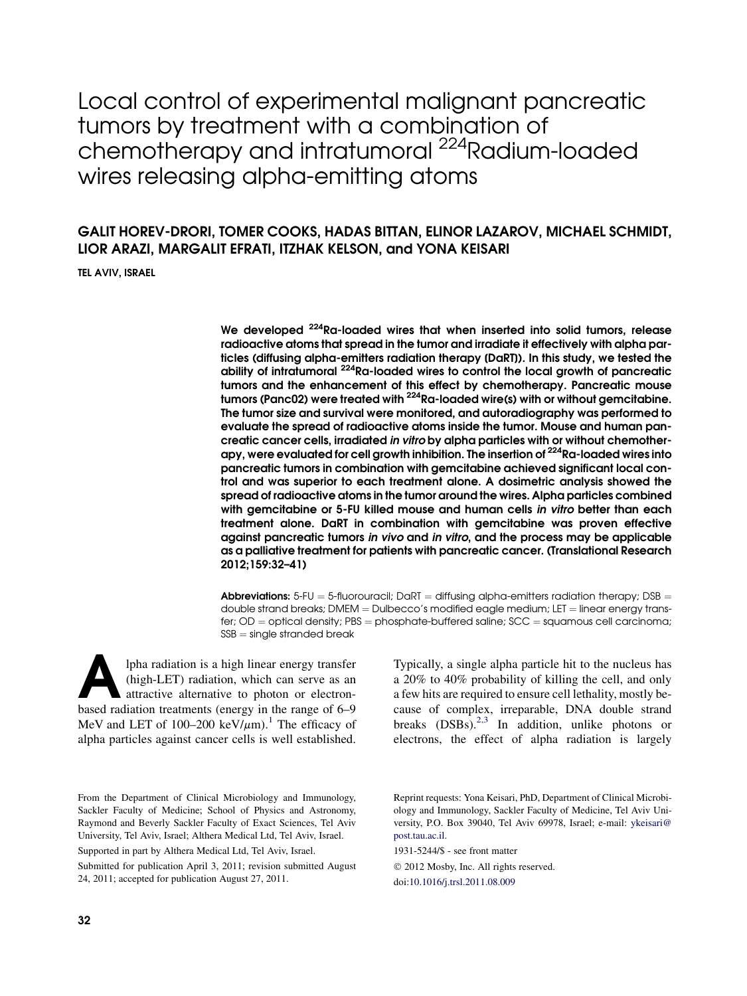# Local control of experimental malignant pancreatic tumors by treatment with a combination of chemotherapy and intratumoral 224Radium-loaded wires releasing alpha-emitting atoms

# GALIT HOREV-DRORI, TOMER COOKS, HADAS BITTAN, ELINOR LAZAROV, MICHAEL SCHMIDT, LIOR ARAZI, MARGALIT EFRATI, ITZHAK KELSON, and YONA KEISARI

TEL AVIV, ISRAEL

We developed <sup>224</sup>Ra-loaded wires that when inserted into solid tumors, release radioactive atoms that spread in the tumor and irradiate it effectively with alpha particles (diffusing alpha-emitters radiation therapy [DaRT]). In this study, we tested the ability of intratumoral 224Ra-loaded wires to control the local growth of pancreatic tumors and the enhancement of this effect by chemotherapy. Pancreatic mouse tumors (Panc02) were treated with 224Ra-loaded wire(s) with or without gemcitabine. The tumor size and survival were monitored, and autoradiography was performed to evaluate the spread of radioactive atoms inside the tumor. Mouse and human pancreatic cancer cells, irradiated in vitro by alpha particles with or without chemotherapy, were evaluated for cell growth inhibition. The insertion of  $224$ Ra-loaded wires into pancreatic tumors in combination with gemcitabine achieved significant local control and was superior to each treatment alone. A dosimetric analysis showed the spread of radioactive atoms in the tumor around the wires. Alpha particles combined with gemcitabine or 5-FU killed mouse and human cells in vitro better than each treatment alone. DaRT in combination with gemcitabine was proven effective against pancreatic tumors in vivo and in vitro, and the process may be applicable as a palliative treatment for patients with pancreatic cancer. (Translational Research 2012;159:32–41)

Abbreviations: 5-FU = 5-fluorouracil; DaRT = diffusing alpha-emitters radiation therapy; DSB = double strand breaks; DMEM = Dulbecco's modified eagle medium; LET = linear energy transfer;  $OD =$  optical density;  $PBS =$  phosphate-buffered saline;  $SCC =$  squamous cell carcinoma;  $SSB = \text{single stranded break}$ 

Ipha radiation is a high linear energy transfer<br>(high-LET) radiation, which can serve as an<br>attractive alternative to photon or electron-<br>hased radiation treatments (energy in the range of 6–9 (high-LET) radiation, which can serve as an attractive alternative to photon or electronbased radiation treatments (energy in the range of 6–9 MeV and LET of [1](#page-7-0)00–200 keV/ $\mu$ m).<sup>1</sup> The efficacy of alpha particles against cancer cells is well established.

a 20% to 40% probability of killing the cell, and only a few hits are required to ensure cell lethality, mostly because of complex, irreparable, DNA double strand breaks  $(DSBs)$ <sup>[2,3](#page-7-0)</sup> In addition, unlike photons or electrons, the effect of alpha radiation is largely

Typically, a single alpha particle hit to the nucleus has

Supported in part by Althera Medical Ltd, Tel Aviv, Israel.

Submitted for publication April 3, 2011; revision submitted August 24, 2011; accepted for publication August 27, 2011.

Reprint requests: Yona Keisari, PhD, Department of Clinical Microbiology and Immunology, Sackler Faculty of Medicine, Tel Aviv University, P.O. Box 39040, Tel Aviv 69978, Israel; e-mail: [ykeisari@](mailto:ykeisari@post.tau.ac.il) [post.tau.ac.il.](mailto:ykeisari@post.tau.ac.il)

1931-5244/\$ - see front matter

2012 Mosby, Inc. All rights reserved.

doi[:10.1016/j.trsl.2011.08.009](http://dx.doi.org/10.1016/j.trsl.2011.08.009)

From the Department of Clinical Microbiology and Immunology, Sackler Faculty of Medicine; School of Physics and Astronomy, Raymond and Beverly Sackler Faculty of Exact Sciences, Tel Aviv University, Tel Aviv, Israel; Althera Medical Ltd, Tel Aviv, Israel.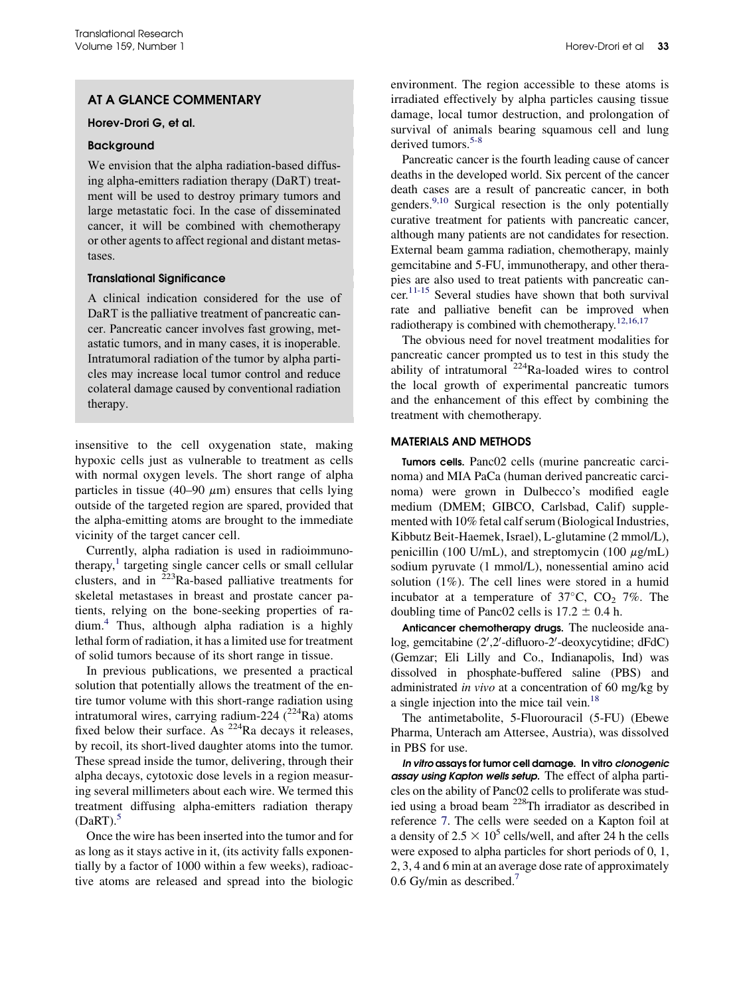## AT A GLANCE COMMENTARY

#### Horev-Drori G, et al.

#### Background

We envision that the alpha radiation-based diffusing alpha-emitters radiation therapy (DaRT) treatment will be used to destroy primary tumors and large metastatic foci. In the case of disseminated cancer, it will be combined with chemotherapy or other agents to affect regional and distant metastases.

#### Translational Significance

A clinical indication considered for the use of DaRT is the palliative treatment of pancreatic cancer. Pancreatic cancer involves fast growing, metastatic tumors, and in many cases, it is inoperable. Intratumoral radiation of the tumor by alpha particles may increase local tumor control and reduce colateral damage caused by conventional radiation therapy.

insensitive to the cell oxygenation state, making hypoxic cells just as vulnerable to treatment as cells with normal oxygen levels. The short range of alpha particles in tissue (40–90  $\mu$ m) ensures that cells lying outside of the targeted region are spared, provided that the alpha-emitting atoms are brought to the immediate vicinity of the target cancer cell.

Currently, alpha radiation is used in radioimmunotherapy, $<sup>1</sup>$  $<sup>1</sup>$  $<sup>1</sup>$  targeting single cancer cells or small cellular</sup> clusters, and in  $^{223}$ Ra-based palliative treatments for skeletal metastases in breast and prostate cancer patients, relying on the bone-seeking properties of ra- $\dim^4$  $\dim^4$  Thus, although alpha radiation is a highly lethal form of radiation, it has a limited use for treatment of solid tumors because of its short range in tissue.

In previous publications, we presented a practical solution that potentially allows the treatment of the entire tumor volume with this short-range radiation using intratumoral wires, carrying radium-224  $(^{224}Ra)$  atoms fixed below their surface. As  $^{224}$ Ra decays it releases, by recoil, its short-lived daughter atoms into the tumor. These spread inside the tumor, delivering, through their alpha decays, cytotoxic dose levels in a region measuring several millimeters about each wire. We termed this treatment diffusing alpha-emitters radiation therapy  $(DaRT).$ <sup>[5](#page-7-0)</sup>

Once the wire has been inserted into the tumor and for as long as it stays active in it, (its activity falls exponentially by a factor of 1000 within a few weeks), radioactive atoms are released and spread into the biologic

environment. The region accessible to these atoms is irradiated effectively by alpha particles causing tissue damage, local tumor destruction, and prolongation of survival of animals bearing squamous cell and lung derived tumors.<sup>[5-8](#page-7-0)</sup>

Pancreatic cancer is the fourth leading cause of cancer deaths in the developed world. Six percent of the cancer death cases are a result of pancreatic cancer, in both genders.<sup>[9,10](#page-8-0)</sup> Surgical resection is the only potentially curative treatment for patients with pancreatic cancer, although many patients are not candidates for resection. External beam gamma radiation, chemotherapy, mainly gemcitabine and 5-FU, immunotherapy, and other therapies are also used to treat patients with pancreatic cancer.[11-15](#page-8-0) Several studies have shown that both survival rate and palliative benefit can be improved when radiotherapy is combined with chemotherapy.<sup>12,16,17</sup>

The obvious need for novel treatment modalities for pancreatic cancer prompted us to test in this study the ability of intratumoral  $224$ Ra-loaded wires to control the local growth of experimental pancreatic tumors and the enhancement of this effect by combining the treatment with chemotherapy.

#### MATERIALS AND METHODS

Tumors cells. Panc02 cells (murine pancreatic carcinoma) and MIA PaCa (human derived pancreatic carcinoma) were grown in Dulbecco's modified eagle medium (DMEM; GIBCO, Carlsbad, Calif) supplemented with 10% fetal calf serum (Biological Industries, Kibbutz Beit-Haemek, Israel), L-glutamine (2 mmol/L), penicillin (100 U/mL), and streptomycin (100  $\mu$ g/mL) sodium pyruvate (1 mmol/L), nonessential amino acid solution (1%). The cell lines were stored in a humid incubator at a temperature of 37 $\degree$ C, CO<sub>2</sub> 7\%. The doubling time of Panc02 cells is  $17.2 \pm 0.4$  h.

Anticancer chemotherapy drugs. The nucleoside analog, gemcitabine (2',2'-difluoro-2'-deoxycytidine; dFdC) (Gemzar; Eli Lilly and Co., Indianapolis, Ind) was dissolved in phosphate-buffered saline (PBS) and administrated in vivo at a concentration of 60 mg/kg by a single injection into the mice tail vein.<sup>18</sup>

The antimetabolite, 5-Fluorouracil (5-FU) (Ebewe Pharma, Unterach am Attersee, Austria), was dissolved in PBS for use.

In vitro assays for tumor cell damage. In vitro clonogenic assay using Kapton wells setup. The effect of alpha particles on the ability of Panc02 cells to proliferate was studied using a broad beam 228Th irradiator as described in reference [7.](#page-8-0) The cells were seeded on a Kapton foil at a density of  $2.5 \times 10^5$  cells/well, and after 24 h the cells were exposed to alpha particles for short periods of 0, 1, 2, 3, 4 and 6 min at an average dose rate of approximately 0.6 Gy/min as described.<sup>7</sup>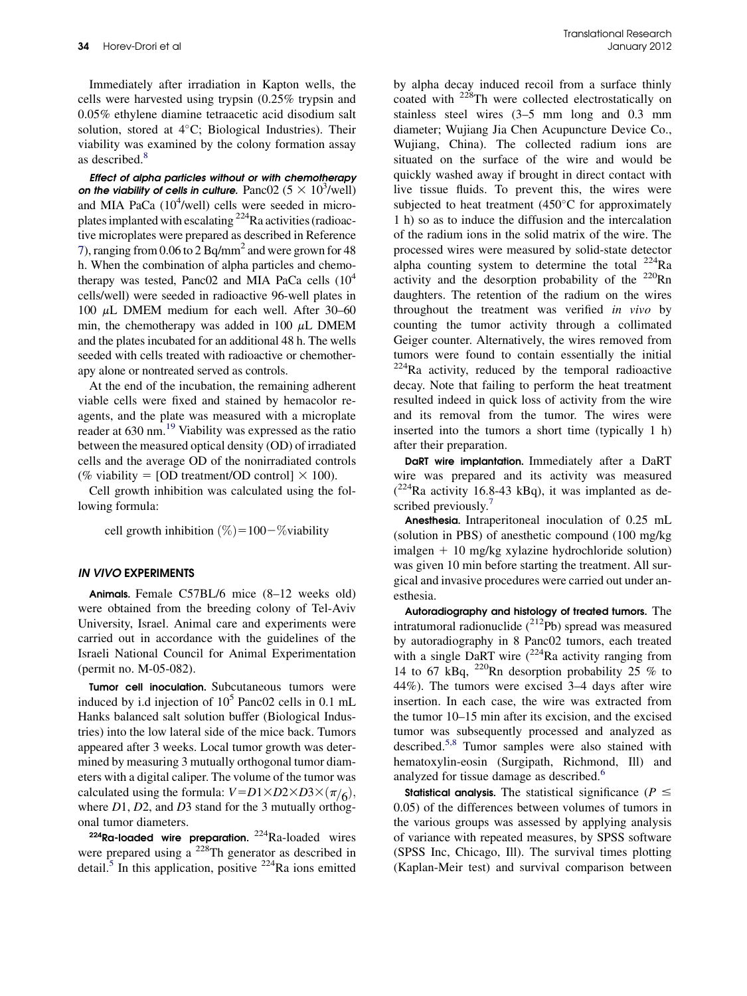Immediately after irradiation in Kapton wells, the cells were harvested using trypsin (0.25% trypsin and 0.05% ethylene diamine tetraacetic acid disodium salt solution, stored at 4°C; Biological Industries). Their viability was examined by the colony formation assay as described.<sup>[8](#page-8-0)</sup>

on the viability of cells in culture.  $\text{Panc} \cdot 2 \cdot (5 \times 10^3/\text{well})$ and MIA PaCa  $(10<sup>4</sup>/well)$  cells were seeded in microplates implanted with escalating  $2^{24}$ Ra activities (radioactive microplates were prepared as described in Reference [7\)](#page-8-0), ranging from 0.06 to 2 Bq/mm<sup>2</sup> and were grown for 48 h. When the combination of alpha particles and chemotherapy was tested, Panc02 and MIA PaCa cells  $(10^4$ cells/well) were seeded in radioactive 96-well plates in 100  $\mu$ L DMEM medium for each well. After 30–60 min, the chemotherapy was added in 100  $\mu$ L DMEM and the plates incubated for an additional 48 h. The wells seeded with cells treated with radioactive or chemotherapy alone or nontreated served as controls.

At the end of the incubation, the remaining adherent viable cells were fixed and stained by hemacolor reagents, and the plate was measured with a microplate reader at 630 nm.<sup>[19](#page-8-0)</sup> Viability was expressed as the ratio between the measured optical density (OD) of irradiated cells and the average OD of the nonirradiated controls (% viability = [OD treatment/OD control]  $\times$  100).

Cell growth inhibition was calculated using the following formula:

cell growth inhibition  $(\%)=100-\%$ viability

#### IN VIVO EXPERIMENTS

Animals. Female C57BL/6 mice (8–12 weeks old) were obtained from the breeding colony of Tel-Aviv University, Israel. Animal care and experiments were carried out in accordance with the guidelines of the Israeli National Council for Animal Experimentation (permit no. M-05-082).

Tumor cell inoculation. Subcutaneous tumors were induced by i.d injection of  $10^5$  Panc02 cells in 0.1 mL Hanks balanced salt solution buffer (Biological Industries) into the low lateral side of the mice back. Tumors appeared after 3 weeks. Local tumor growth was determined by measuring 3 mutually orthogonal tumor diameters with a digital caliper. The volume of the tumor was calculated using the formula:  $V=D1\times D2\times D3\times (\pi/6)$ , where  $D1$ ,  $D2$ , and  $D3$  stand for the 3 mutually orthogonal tumor diameters.

 $224$ Ra-loaded wire preparation.  $224$ Ra-loaded wires were prepared using a 228Th generator as described in detail.<sup>[5](#page-7-0)</sup> In this application, positive  $224$ Ra ions emitted

by alpha decay induced recoil from a surface thinly coated with <sup>228</sup>Th were collected electrostatically on stainless steel wires (3–5 mm long and 0.3 mm diameter; Wujiang Jia Chen Acupuncture Device Co., Wujiang, China). The collected radium ions are situated on the surface of the wire and would be quickly washed away if brought in direct contact with live tissue fluids. To prevent this, the wires were subjected to heat treatment  $(450^{\circ}$ C for approximately 1 h) so as to induce the diffusion and the intercalation of the radium ions in the solid matrix of the wire. The processed wires were measured by solid-state detector alpha counting system to determine the total  $^{224}$ Ra activity and the desorption probability of the  $^{220}$ Rn daughters. The retention of the radium on the wires throughout the treatment was verified in vivo by counting the tumor activity through a collimated Geiger counter. Alternatively, the wires removed from tumors were found to contain essentially the initial  $224$ Ra activity, reduced by the temporal radioactive decay. Note that failing to perform the heat treatment resulted indeed in quick loss of activity from the wire and its removal from the tumor. The wires were inserted into the tumors a short time (typically 1 h) after their preparation.

DaRT wire implantation. Immediately after a DaRT wire was prepared and its activity was measured  $(^{224}$ Ra activity 16.8-43 kBq), it was implanted as de-scribed previously.<sup>[7](#page-8-0)</sup>

Anesthesia. Intraperitoneal inoculation of 0.25 mL (solution in PBS) of anesthetic compound (100 mg/kg imalgen  $+ 10$  mg/kg xylazine hydrochloride solution) was given 10 min before starting the treatment. All surgical and invasive procedures were carried out under anesthesia.

Autoradiography and histology of treated tumors. The intratumoral radionuclide  $(^{212}Pb)$  spread was measured by autoradiography in 8 Panc02 tumors, each treated with a single DaRT wire  $(^{224}$ Ra activity ranging from 14 to 67 kBq, <sup>220</sup>Rn desorption probability 25 % to 44%). The tumors were excised 3–4 days after wire insertion. In each case, the wire was extracted from the tumor 10–15 min after its excision, and the excised tumor was subsequently processed and analyzed as described.[5,8](#page-7-0) Tumor samples were also stained with hematoxylin-eosin (Surgipath, Richmond, Ill) and analyzed for tissue damage as described.<sup>[6](#page-7-0)</sup>

**Statistical analysis.** The statistical significance ( $P \leq$ 0.05) of the differences between volumes of tumors in the various groups was assessed by applying analysis of variance with repeated measures, by SPSS software (SPSS Inc, Chicago, Ill). The survival times plotting (Kaplan-Meir test) and survival comparison between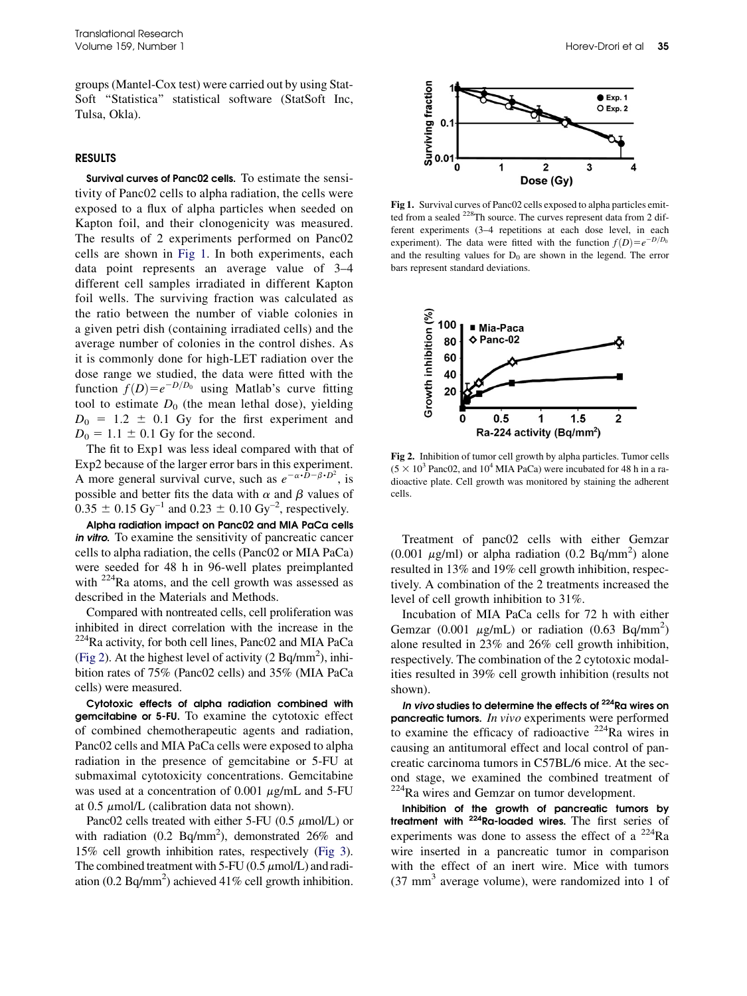<span id="page-3-0"></span>groups (Mantel-Cox test) were carried out by using Stat-Soft ''Statistica'' statistical software (StatSoft Inc, Tulsa, Okla).

#### RESULTS

Survival curves of Panc02 cells. To estimate the sensitivity of Panc02 cells to alpha radiation, the cells were exposed to a flux of alpha particles when seeded on Kapton foil, and their clonogenicity was measured. The results of 2 experiments performed on Panc02 cells are shown in Fig 1. In both experiments, each data point represents an average value of 3–4 different cell samples irradiated in different Kapton foil wells. The surviving fraction was calculated as the ratio between the number of viable colonies in a given petri dish (containing irradiated cells) and the average number of colonies in the control dishes. As it is commonly done for high-LET radiation over the dose range we studied, the data were fitted with the function  $f(D) = e^{-D/D_0}$  using Matlab's curve fitting tool to estimate  $D_0$  (the mean lethal dose), yielding  $D_0 = 1.2 \pm 0.1$  Gy for the first experiment and  $D_0 = 1.1 \pm 0.1$  Gy for the second.

The fit to Exp1 was less ideal compared with that of Exp2 because of the larger error bars in this experiment. A more general survival curve, such as  $e^{-\alpha \cdot \hat{D}-\beta \cdot D^2}$ , is possible and better fits the data with  $\alpha$  and  $\beta$  values of  $0.35 \pm 0.15 \text{ Gy}^{-1}$  and  $0.23 \pm 0.10 \text{ Gy}^{-2}$ , respectively.

Alpha radiation impact on Panc02 and MIA PaCa cells in vitro. To examine the sensitivity of pancreatic cancer cells to alpha radiation, the cells (Panc02 or MIA PaCa) were seeded for 48 h in 96-well plates preimplanted with  $224$ Ra atoms, and the cell growth was assessed as described in the Materials and Methods.

Compared with nontreated cells, cell proliferation was inhibited in direct correlation with the increase in the  $224$ Ra activity, for both cell lines, Panc02 and MIA PaCa (Fig 2). At the highest level of activity  $(2 Bq/mm^2)$ , inhibition rates of 75% (Panc02 cells) and 35% (MIA PaCa cells) were measured.

Cytotoxic effects of alpha radiation combined with gemcitabine or 5-FU. To examine the cytotoxic effect of combined chemotherapeutic agents and radiation, Panc02 cells and MIA PaCa cells were exposed to alpha radiation in the presence of gemcitabine or 5-FU at submaximal cytotoxicity concentrations. Gemcitabine was used at a concentration of  $0.001 \mu g/mL$  and  $5-FU$ at  $0.5 \mu$ mol/L (calibration data not shown).

Panc02 cells treated with either 5-FU (0.5  $\mu$ mol/L) or with radiation  $(0.2 \text{ Bq/mm}^2)$ , demonstrated 26% and 15% cell growth inhibition rates, respectively [\(Fig 3](#page-4-0)). The combined treatment with 5-FU (0.5  $\mu$ mol/L) and radiation (0.2 Bq/mm<sup>2</sup>) achieved 41% cell growth inhibition.



Fig 1. Survival curves of Panc02 cells exposed to alpha particles emit-<br>ted from a sealed <sup>228</sup>Th source. The curves represent data from 2 different experiments (3–4 repetitions at each dose level, in each experiment). The data were fitted with the function  $f(D) = e^{-D/D_0}$ and the resulting values for  $D_0$  are shown in the legend. The error bars represent standard deviations.



Fig 2. Inhibition of tumor cell growth by alpha particles. Tumor cells  $(5 \times 10^3 \text{ Panc02})$ , and  $10^4 \text{ MIA}$  PaCa) were incubated for 48 h in a radioactive plate. Cell growth was monitored by staining the adherent cells.

Treatment of panc02 cells with either Gemzar (0.001  $\mu$ g/ml) or alpha radiation (0.2 Bq/mm<sup>2</sup>) alone resulted in 13% and 19% cell growth inhibition, respectively. A combination of the 2 treatments increased the level of cell growth inhibition to 31%.

Incubation of MIA PaCa cells for 72 h with either Gemzar (0.001  $\mu$ g/mL) or radiation (0.63 Bq/mm<sup>2</sup>) alone resulted in 23% and 26% cell growth inhibition, respectively. The combination of the 2 cytotoxic modalities resulted in 39% cell growth inhibition (results not shown).

In vivo studies to determine the effects of <sup>224</sup>Ra wires on pancreatic tumors. In vivo experiments were performed to examine the efficacy of radioactive  $224$ Ra wires in causing an antitumoral effect and local control of pancreatic carcinoma tumors in C57BL/6 mice. At the second stage, we examined the combined treatment of <sup>224</sup>Ra wires and Gemzar on tumor development.

Inhibition of the growth of pancreatic tumors by treatment with <sup>224</sup>Ra-loaded wires. The first series of experiments was done to assess the effect of a <sup>224</sup>Ra wire inserted in a pancreatic tumor in comparison with the effect of an inert wire. Mice with tumors  $(37 \text{ mm}^3)$  average volume), were randomized into 1 of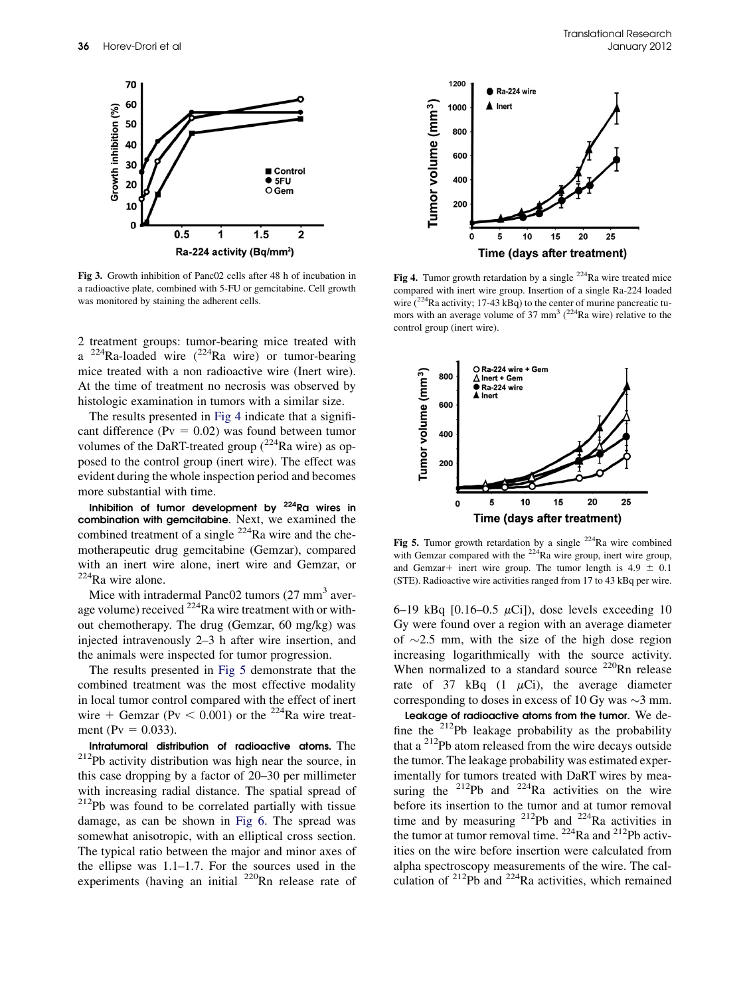<span id="page-4-0"></span>

Fig 3. Growth inhibition of Panc02 cells after 48 h of incubation in a radioactive plate, combined with 5-FU or gemcitabine. Cell growth was monitored by staining the adherent cells.

2 treatment groups: tumor-bearing mice treated with a  $^{224}$ Ra-loaded wire  $(^{224}$ Ra wire) or tumor-bearing mice treated with a non radioactive wire (Inert wire). At the time of treatment no necrosis was observed by histologic examination in tumors with a similar size.

The results presented in Fig 4 indicate that a significant difference ( $Pv = 0.02$ ) was found between tumor volumes of the DaRT-treated group  $(^{224}$ Ra wire) as opposed to the control group (inert wire). The effect was evident during the whole inspection period and becomes more substantial with time.

Inhibition of tumor development by 224Ra wires in combination with gemcitabine. Next, we examined the combined treatment of a single  $^{224}$ Ra wire and the chemotherapeutic drug gemcitabine (Gemzar), compared with an inert wire alone, inert wire and Gemzar, or 224Ra wire alone.

Mice with intradermal Panc02 tumors  $(27 \text{ mm}^3 \text{ aver}$ age volume) received  $^{224}$ Ra wire treatment with or without chemotherapy. The drug (Gemzar, 60 mg/kg) was injected intravenously 2–3 h after wire insertion, and the animals were inspected for tumor progression.

The results presented in Fig 5 demonstrate that the combined treatment was the most effective modality in local tumor control compared with the effect of inert wire + Gemzar (Pv < 0.001) or the <sup>224</sup>Ra wire treatment ( $Pv = 0.033$ ).

Intratumoral distribution of radioactive atoms. The <sup>212</sup>Pb activity distribution was high near the source, in this case dropping by a factor of 20–30 per millimeter with increasing radial distance. The spatial spread of  $212$ Pb was found to be correlated partially with tissue damage, as can be shown in [Fig 6](#page-5-0). The spread was somewhat anisotropic, with an elliptical cross section. The typical ratio between the major and minor axes of the ellipse was 1.1–1.7. For the sources used in the experiments (having an initial  $^{220}$ Rn release rate of



Fig 4. Tumor growth retardation by a single  $^{224}$ Ra wire treated mice compared with inert wire group. Insertion of a single Ra-224 loaded wire  $(^{224}$ Ra activity; 17-43 kBq) to the center of murine pancreatic tumors with an average volume of 37 mm<sup>3</sup> ( $224$ Ra wire) relative to the control group (inert wire).



Fig 5. Tumor growth retardation by a single <sup>224</sup>Ra wire combined with Gemzar compared with the  $224$ Ra wire group, inert wire group, and Gemzar+ inert wire group. The tumor length is  $4.9 \pm 0.1$ (STE). Radioactive wire activities ranged from 17 to 43 kBq per wire.

6–19 kBq [0.16–0.5  $\mu$ Ci]), dose levels exceeding 10 Gy were found over a region with an average diameter of  $\sim$ 2.5 mm, with the size of the high dose region increasing logarithmically with the source activity. When normalized to a standard source  $220$ Rn release rate of 37 kBq  $(1 \mu\text{Ci})$ , the average diameter corresponding to doses in excess of 10 Gy was  $\sim$ 3 mm.

Leakage of radioactive atoms from the tumor. We define the  $^{212}Pb$  leakage probability as the probability that a  $^{212}$ Pb atom released from the wire decays outside the tumor. The leakage probability was estimated experimentally for tumors treated with DaRT wires by measuring the  $2^{12}Pb$  and  $2^{24}Ra$  activities on the wire before its insertion to the tumor and at tumor removal time and by measuring  $212$ Pb and  $224$ Ra activities in the tumor at tumor removal time.  $224$ Ra and  $212$ Pb activities on the wire before insertion were calculated from alpha spectroscopy measurements of the wire. The calculation of  $2^{12}$ Pb and  $2^{24}$ Ra activities, which remained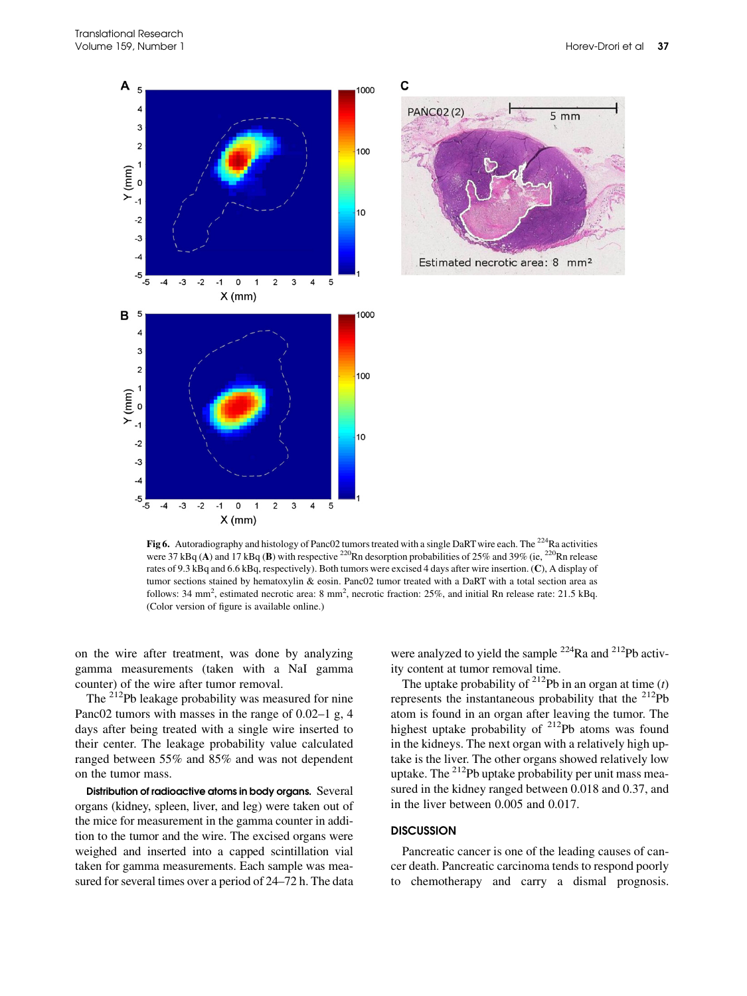<span id="page-5-0"></span>



Fig 6. Autoradiography and histology of Panc02 tumors treated with a single DaRT wire each. The <sup>224</sup>Ra activities were 37 kBq (A) and 17 kBq (B) with respective <sup>220</sup>Rn desorption probabilities of 25% and 39% (ie, <sup>220</sup>Rn release rates of 9.3 kBq and 6.6 kBq, respectively). Both tumors were excised 4 days after wire insertion. (C), A display of tumor sections stained by hematoxylin & eosin. Panc02 tumor treated with a DaRT with a total section area as follows: 34 mm<sup>2</sup>, estimated necrotic area: 8 mm<sup>2</sup>, necrotic fraction: 25%, and initial Rn release rate: 21.5 kBq. (Color version of figure is available online.)

on the wire after treatment, was done by analyzing gamma measurements (taken with a NaI gamma counter) of the wire after tumor removal.

The <sup>212</sup>Pb leakage probability was measured for nine Panc02 tumors with masses in the range of 0.02–1 g, 4 days after being treated with a single wire inserted to their center. The leakage probability value calculated ranged between 55% and 85% and was not dependent on the tumor mass.

Distribution of radioactive atoms in body organs. Several organs (kidney, spleen, liver, and leg) were taken out of the mice for measurement in the gamma counter in addition to the tumor and the wire. The excised organs were weighed and inserted into a capped scintillation vial taken for gamma measurements. Each sample was measured for several times over a period of 24–72 h. The data were analyzed to yield the sample  $^{224}$ Ra and  $^{212}$ Pb activity content at tumor removal time.

The uptake probability of <sup>212</sup>Pb in an organ at time (t) represents the instantaneous probability that the  $^{212}Pb$ atom is found in an organ after leaving the tumor. The highest uptake probability of <sup>212</sup>Pb atoms was found in the kidneys. The next organ with a relatively high uptake is the liver. The other organs showed relatively low uptake. The  $^{212}$ Pb uptake probability per unit mass measured in the kidney ranged between 0.018 and 0.37, and in the liver between 0.005 and 0.017.

### **DISCUSSION**

Pancreatic cancer is one of the leading causes of cancer death. Pancreatic carcinoma tends to respond poorly to chemotherapy and carry a dismal prognosis.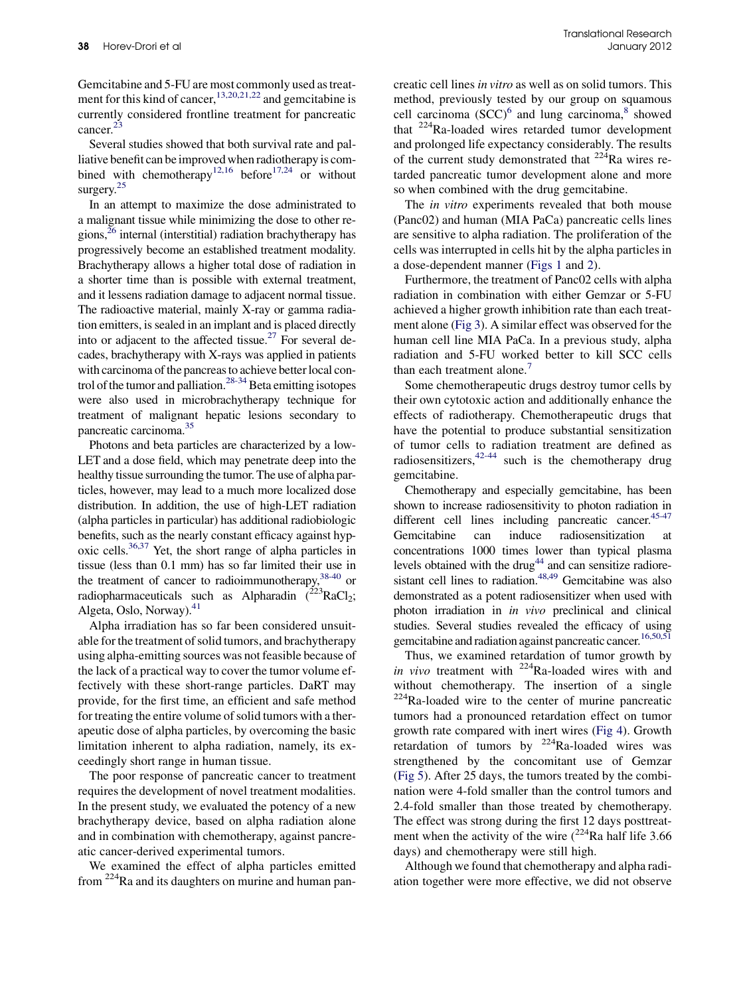Gemcitabine and 5-FU are most commonly used as treatment for this kind of cancer,  $13,20,21,22$  and gemcitabine is currently considered frontline treatment for pancreatic cancer.<sup>[23](#page-8-0)</sup>

Several studies showed that both survival rate and palliative benefit can be improved when radiotherapy is combined with chemotherapy<sup>12,16</sup> before<sup>17,24</sup> or without surgery. $25$ 

In an attempt to maximize the dose administrated to a malignant tissue while minimizing the dose to other regions[,26](#page-8-0) internal (interstitial) radiation brachytherapy has progressively become an established treatment modality. Brachytherapy allows a higher total dose of radiation in a shorter time than is possible with external treatment, and it lessens radiation damage to adjacent normal tissue. The radioactive material, mainly X-ray or gamma radiation emitters, is sealed in an implant and is placed directly into or adjacent to the affected tissue.<sup>[27](#page-8-0)</sup> For several decades, brachytherapy with X-rays was applied in patients with carcinoma of the pancreas to achieve better local con-trol of the tumor and palliation.<sup>[28-34](#page-8-0)</sup> Beta emitting isotopes were also used in microbrachytherapy technique for treatment of malignant hepatic lesions secondary to pancreatic carcinoma[.35](#page-8-0)

Photons and beta particles are characterized by a low-LET and a dose field, which may penetrate deep into the healthy tissue surrounding the tumor. The use of alpha particles, however, may lead to a much more localized dose distribution. In addition, the use of high-LET radiation (alpha particles in particular) has additional radiobiologic benefits, such as the nearly constant efficacy against hypoxic cells[.36,37](#page-8-0) Yet, the short range of alpha particles in tissue (less than 0.1 mm) has so far limited their use in the treatment of cancer to radioimmunotherapy,  $38-40$  or radiopharmaceuticals such as Alpharadin  $(223)$ RaCl<sub>2</sub>; Algeta, Oslo, Norway).<sup>41</sup>

Alpha irradiation has so far been considered unsuitable for the treatment of solid tumors, and brachytherapy using alpha-emitting sources was not feasible because of the lack of a practical way to cover the tumor volume effectively with these short-range particles. DaRT may provide, for the first time, an efficient and safe method for treating the entire volume of solid tumors with a therapeutic dose of alpha particles, by overcoming the basic limitation inherent to alpha radiation, namely, its exceedingly short range in human tissue.

The poor response of pancreatic cancer to treatment requires the development of novel treatment modalities. In the present study, we evaluated the potency of a new brachytherapy device, based on alpha radiation alone and in combination with chemotherapy, against pancreatic cancer-derived experimental tumors.

We examined the effect of alpha particles emitted from  $224$ Ra and its daughters on murine and human pancreatic cell lines in vitro as well as on solid tumors. This method, previously tested by our group on squamous cell carcinoma  $(SCC)^6$  $(SCC)^6$  and lung carcinoma, $8$  showed that 224Ra-loaded wires retarded tumor development and prolonged life expectancy considerably. The results of the current study demonstrated that  $224$ Ra wires retarded pancreatic tumor development alone and more so when combined with the drug gemcitabine.

The *in vitro* experiments revealed that both mouse (Panc02) and human (MIA PaCa) pancreatic cells lines are sensitive to alpha radiation. The proliferation of the cells was interrupted in cells hit by the alpha particles in a dose-dependent manner [\(Figs 1](#page-3-0) and [2](#page-3-0)).

Furthermore, the treatment of Panc02 cells with alpha radiation in combination with either Gemzar or 5-FU achieved a higher growth inhibition rate than each treatment alone ([Fig 3](#page-4-0)). A similar effect was observed for the human cell line MIA PaCa. In a previous study, alpha radiation and 5-FU worked better to kill SCC cells than each treatment alone.<sup>[7](#page-8-0)</sup>

Some chemotherapeutic drugs destroy tumor cells by their own cytotoxic action and additionally enhance the effects of radiotherapy. Chemotherapeutic drugs that have the potential to produce substantial sensitization of tumor cells to radiation treatment are defined as radiosensitizers,<sup>[42-44](#page-8-0)</sup> such is the chemotherapy drug gemcitabine.

Chemotherapy and especially gemcitabine, has been shown to increase radiosensitivity to photon radiation in different cell lines including pancreatic cancer. $45-47$ Gemcitabine can induce radiosensitization at concentrations 1000 times lower than typical plasma levels obtained with the drug<sup>44</sup> and can sensitize radiore-sistant cell lines to radiation.<sup>[48,49](#page-8-0)</sup> Gemcitabine was also demonstrated as a potent radiosensitizer when used with photon irradiation in in vivo preclinical and clinical studies. Several studies revealed the efficacy of using gemcitabine and radiation against pancreatic cancer.<sup>16,50,51</sup>

Thus, we examined retardation of tumor growth by in vivo treatment with <sup>224</sup>Ra-loaded wires with and without chemotherapy. The insertion of a single <sup>224</sup>Ra-loaded wire to the center of murine pancreatic tumors had a pronounced retardation effect on tumor growth rate compared with inert wires [\(Fig 4](#page-4-0)). Growth retardation of tumors by 224Ra-loaded wires was strengthened by the concomitant use of Gemzar [\(Fig 5](#page-4-0)). After 25 days, the tumors treated by the combination were 4-fold smaller than the control tumors and 2.4-fold smaller than those treated by chemotherapy. The effect was strong during the first 12 days posttreatment when the activity of the wire  $(^{224}$ Ra half life 3.66 days) and chemotherapy were still high.

Although we found that chemotherapy and alpha radiation together were more effective, we did not observe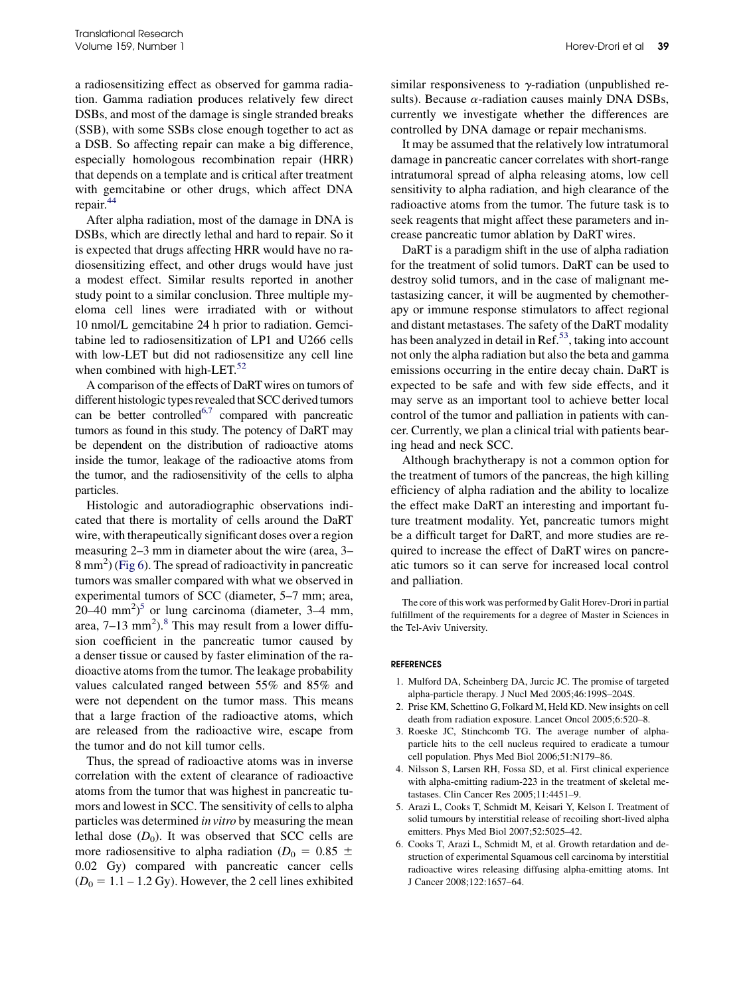<span id="page-7-0"></span>a radiosensitizing effect as observed for gamma radiation. Gamma radiation produces relatively few direct DSBs, and most of the damage is single stranded breaks (SSB), with some SSBs close enough together to act as a DSB. So affecting repair can make a big difference, especially homologous recombination repair (HRR) that depends on a template and is critical after treatment with gemcitabine or other drugs, which affect DNA repair.<sup>[44](#page-8-0)</sup>

After alpha radiation, most of the damage in DNA is DSBs, which are directly lethal and hard to repair. So it is expected that drugs affecting HRR would have no radiosensitizing effect, and other drugs would have just a modest effect. Similar results reported in another study point to a similar conclusion. Three multiple myeloma cell lines were irradiated with or without 10 nmol/L gemcitabine 24 h prior to radiation. Gemcitabine led to radiosensitization of LP1 and U266 cells with low-LET but did not radiosensitize any cell line when combined with high-LET. $52$ 

A comparison of the effects of DaRT wires on tumors of different histologic types revealed that SCC derived tumors can be better controlled<sup>6,7</sup> compared with pancreatic tumors as found in this study. The potency of DaRT may be dependent on the distribution of radioactive atoms inside the tumor, leakage of the radioactive atoms from the tumor, and the radiosensitivity of the cells to alpha particles.

Histologic and autoradiographic observations indicated that there is mortality of cells around the DaRT wire, with therapeutically significant doses over a region measuring 2–3 mm in diameter about the wire (area, 3– 8 mm<sup>2</sup>) [\(Fig 6\)](#page-5-0). The spread of radioactivity in pancreatic tumors was smaller compared with what we observed in experimental tumors of SCC (diameter, 5–7 mm; area,  $20-40$  mm<sup>2</sup>)<sup>5</sup> or lung carcinoma (diameter, 3-4 mm, area,  $7-13$  mm<sup>2</sup>).<sup>8</sup> This may result from a lower diffusion coefficient in the pancreatic tumor caused by a denser tissue or caused by faster elimination of the radioactive atoms from the tumor. The leakage probability values calculated ranged between 55% and 85% and were not dependent on the tumor mass. This means that a large fraction of the radioactive atoms, which are released from the radioactive wire, escape from the tumor and do not kill tumor cells.

Thus, the spread of radioactive atoms was in inverse correlation with the extent of clearance of radioactive atoms from the tumor that was highest in pancreatic tumors and lowest in SCC. The sensitivity of cells to alpha particles was determined in vitro by measuring the mean lethal dose  $(D_0)$ . It was observed that SCC cells are more radiosensitive to alpha radiation ( $D_0 = 0.85 \pm 0.85$ 0.02 Gy) compared with pancreatic cancer cells  $(D_0 = 1.1 - 1.2 \text{ Gy})$ . However, the 2 cell lines exhibited similar responsiveness to  $\gamma$ -radiation (unpublished results). Because  $\alpha$ -radiation causes mainly DNA DSBs, currently we investigate whether the differences are controlled by DNA damage or repair mechanisms.

It may be assumed that the relatively low intratumoral damage in pancreatic cancer correlates with short-range intratumoral spread of alpha releasing atoms, low cell sensitivity to alpha radiation, and high clearance of the radioactive atoms from the tumor. The future task is to seek reagents that might affect these parameters and increase pancreatic tumor ablation by DaRT wires.

DaRT is a paradigm shift in the use of alpha radiation for the treatment of solid tumors. DaRT can be used to destroy solid tumors, and in the case of malignant metastasizing cancer, it will be augmented by chemotherapy or immune response stimulators to affect regional and distant metastases. The safety of the DaRT modality has been analyzed in detail in Ref. $53$ , taking into account not only the alpha radiation but also the beta and gamma emissions occurring in the entire decay chain. DaRT is expected to be safe and with few side effects, and it may serve as an important tool to achieve better local control of the tumor and palliation in patients with cancer. Currently, we plan a clinical trial with patients bearing head and neck SCC.

Although brachytherapy is not a common option for the treatment of tumors of the pancreas, the high killing efficiency of alpha radiation and the ability to localize the effect make DaRT an interesting and important future treatment modality. Yet, pancreatic tumors might be a difficult target for DaRT, and more studies are required to increase the effect of DaRT wires on pancreatic tumors so it can serve for increased local control and palliation.

The core of this work was performed by Galit Horev-Drori in partial fulfillment of the requirements for a degree of Master in Sciences in the Tel-Aviv University.

#### REFERENCES

- 1. Mulford DA, Scheinberg DA, Jurcic JC. The promise of targeted alpha-particle therapy. J Nucl Med 2005;46:199S–204S.
- 2. Prise KM, Schettino G, Folkard M, Held KD. New insights on cell death from radiation exposure. Lancet Oncol 2005;6:520–8.
- 3. Roeske JC, Stinchcomb TG. The average number of alphaparticle hits to the cell nucleus required to eradicate a tumour cell population. Phys Med Biol 2006;51:N179–86.
- 4. Nilsson S, Larsen RH, Fossa SD, et al. First clinical experience with alpha-emitting radium-223 in the treatment of skeletal metastases. Clin Cancer Res 2005;11:4451–9.
- 5. Arazi L, Cooks T, Schmidt M, Keisari Y, Kelson I. Treatment of solid tumours by interstitial release of recoiling short-lived alpha emitters. Phys Med Biol 2007;52:5025–42.
- 6. Cooks T, Arazi L, Schmidt M, et al. Growth retardation and destruction of experimental Squamous cell carcinoma by interstitial radioactive wires releasing diffusing alpha-emitting atoms. Int J Cancer 2008;122:1657–64.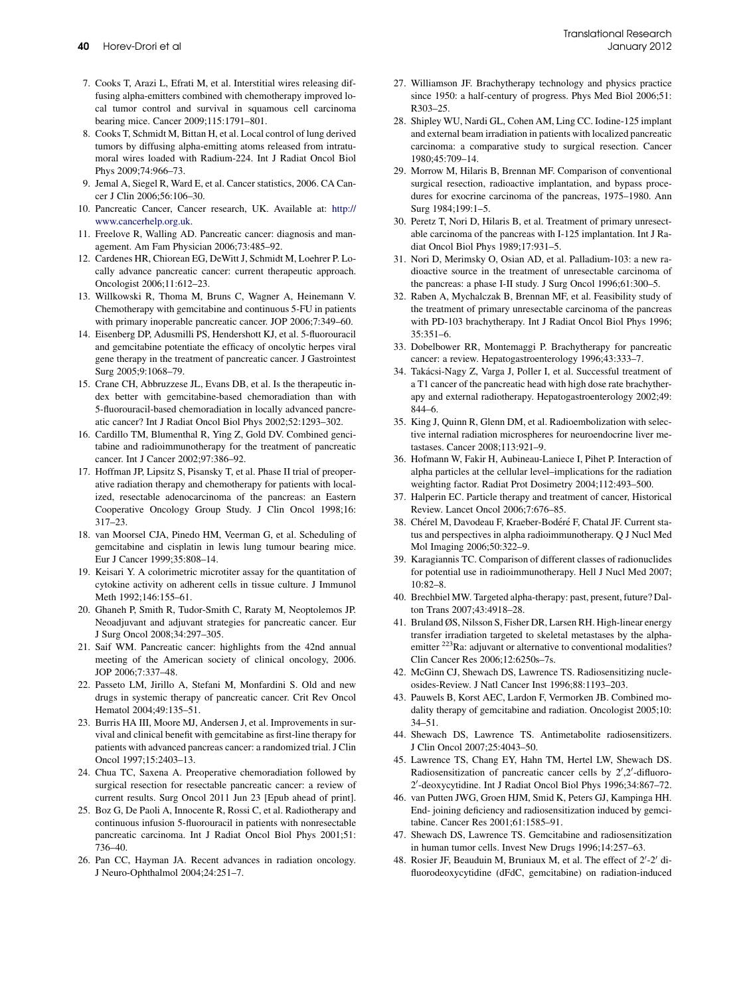- <span id="page-8-0"></span>7. Cooks T, Arazi L, Efrati M, et al. Interstitial wires releasing diffusing alpha-emitters combined with chemotherapy improved local tumor control and survival in squamous cell carcinoma bearing mice. Cancer 2009;115:1791–801.
- 8. Cooks T, Schmidt M, Bittan H, et al. Local control of lung derived tumors by diffusing alpha-emitting atoms released from intratumoral wires loaded with Radium-224. Int J Radiat Oncol Biol Phys 2009;74:966–73.
- 9. Jemal A, Siegel R, Ward E, et al. Cancer statistics, 2006. CA Cancer J Clin 2006;56:106–30.
- 10. Pancreatic Cancer, Cancer research, UK. Available at: [http://](http://www.cancerhelp.org.uk) [www.cancerhelp.org.uk](http://www.cancerhelp.org.uk).
- 11. Freelove R, Walling AD. Pancreatic cancer: diagnosis and management. Am Fam Physician 2006;73:485–92.
- 12. Cardenes HR, Chiorean EG, DeWitt J, Schmidt M, Loehrer P. Locally advance pancreatic cancer: current therapeutic approach. Oncologist 2006;11:612–23.
- 13. Willkowski R, Thoma M, Bruns C, Wagner A, Heinemann V. Chemotherapy with gemcitabine and continuous 5-FU in patients with primary inoperable pancreatic cancer. JOP 2006;7:349–60.
- 14. Eisenberg DP, Adusmilli PS, Hendershott KJ, et al. 5-fluorouracil and gemcitabine potentiate the efficacy of oncolytic herpes viral gene therapy in the treatment of pancreatic cancer. J Gastrointest Surg 2005;9:1068–79.
- 15. Crane CH, Abbruzzese JL, Evans DB, et al. Is the therapeutic index better with gemcitabine-based chemoradiation than with 5-fluorouracil-based chemoradiation in locally advanced pancreatic cancer? Int J Radiat Oncol Biol Phys 2002;52:1293–302.
- 16. Cardillo TM, Blumenthal R, Ying Z, Gold DV. Combined gencitabine and radioimmunotherapy for the treatment of pancreatic cancer. Int J Cancer 2002;97:386–92.
- 17. Hoffman JP, Lipsitz S, Pisansky T, et al. Phase II trial of preoperative radiation therapy and chemotherapy for patients with localized, resectable adenocarcinoma of the pancreas: an Eastern Cooperative Oncology Group Study. J Clin Oncol 1998;16: 317–23.
- 18. van Moorsel CJA, Pinedo HM, Veerman G, et al. Scheduling of gemcitabine and cisplatin in lewis lung tumour bearing mice. Eur J Cancer 1999;35:808–14.
- 19. Keisari Y. A colorimetric microtiter assay for the quantitation of cytokine activity on adherent cells in tissue culture. J Immunol Meth 1992;146:155–61.
- 20. Ghaneh P, Smith R, Tudor-Smith C, Raraty M, Neoptolemos JP. Neoadjuvant and adjuvant strategies for pancreatic cancer. Eur J Surg Oncol 2008;34:297–305.
- 21. Saif WM. Pancreatic cancer: highlights from the 42nd annual meeting of the American society of clinical oncology, 2006. JOP 2006;7:337–48.
- 22. Passeto LM, Jirillo A, Stefani M, Monfardini S. Old and new drugs in systemic therapy of pancreatic cancer. Crit Rev Oncol Hematol 2004;49:135–51.
- 23. Burris HA III, Moore MJ, Andersen J, et al. Improvements in survival and clinical benefit with gemcitabine as first-line therapy for patients with advanced pancreas cancer: a randomized trial. J Clin Oncol 1997;15:2403–13.
- 24. Chua TC, Saxena A. Preoperative chemoradiation followed by surgical resection for resectable pancreatic cancer: a review of current results. Surg Oncol 2011 Jun 23 [Epub ahead of print].
- 25. Boz G, De Paoli A, Innocente R, Rossi C, et al. Radiotherapy and continuous infusion 5-fluorouracil in patients with nonresectable pancreatic carcinoma. Int J Radiat Oncol Biol Phys 2001;51: 736–40.
- 26. Pan CC, Hayman JA. Recent advances in radiation oncology. J Neuro-Ophthalmol 2004;24:251–7.
- 27. Williamson JF. Brachytherapy technology and physics practice since 1950: a half-century of progress. Phys Med Biol 2006;51: R303–25.
- 28. Shipley WU, Nardi GL, Cohen AM, Ling CC. Iodine-125 implant and external beam irradiation in patients with localized pancreatic carcinoma: a comparative study to surgical resection. Cancer 1980;45:709–14.
- 29. Morrow M, Hilaris B, Brennan MF. Comparison of conventional surgical resection, radioactive implantation, and bypass procedures for exocrine carcinoma of the pancreas, 1975–1980. Ann Surg 1984;199:1–5.
- 30. Peretz T, Nori D, Hilaris B, et al. Treatment of primary unresectable carcinoma of the pancreas with I-125 implantation. Int J Radiat Oncol Biol Phys 1989;17:931–5.
- 31. Nori D, Merimsky O, Osian AD, et al. Palladium-103: a new radioactive source in the treatment of unresectable carcinoma of the pancreas: a phase I-II study. J Surg Oncol 1996;61:300–5.
- 32. Raben A, Mychalczak B, Brennan MF, et al. Feasibility study of the treatment of primary unresectable carcinoma of the pancreas with PD-103 brachytherapy. Int J Radiat Oncol Biol Phys 1996; 35:351–6.
- 33. Dobelbower RR, Montemaggi P. Brachytherapy for pancreatic cancer: a review. Hepatogastroenterology 1996;43:333–7.
- 34. Takácsi-Nagy Z, Varga J, Poller I, et al. Successful treatment of a T1 cancer of the pancreatic head with high dose rate brachytherapy and external radiotherapy. Hepatogastroenterology 2002;49: 844–6.
- 35. King J, Quinn R, Glenn DM, et al. Radioembolization with selective internal radiation microspheres for neuroendocrine liver metastases. Cancer 2008;113:921–9.
- 36. Hofmann W, Fakir H, Aubineau-Laniece I, Pihet P. Interaction of alpha particles at the cellular level–implications for the radiation weighting factor. Radiat Prot Dosimetry 2004;112:493–500.
- 37. Halperin EC. Particle therapy and treatment of cancer, Historical Review. Lancet Oncol 2006;7:676–85.
- 38. Chérel M, Davodeau F, Kraeber-Bodéré F, Chatal JF. Current status and perspectives in alpha radioimmunotherapy. Q J Nucl Med Mol Imaging 2006;50:322–9.
- 39. Karagiannis TC. Comparison of different classes of radionuclides for potential use in radioimmunotherapy. Hell J Nucl Med 2007; 10:82–8.
- 40. Brechbiel MW. Targeted alpha-therapy: past, present, future? Dalton Trans 2007;43:4918–28.
- 41. Bruland ØS, Nilsson S, Fisher DR, Larsen RH. High-linear energy transfer irradiation targeted to skeletal metastases by the alphaemitter <sup>223</sup>Ra: adjuvant or alternative to conventional modalities? Clin Cancer Res 2006;12:6250s–7s.
- 42. McGinn CJ, Shewach DS, Lawrence TS. Radiosensitizing nucleosides-Review. J Natl Cancer Inst 1996;88:1193–203.
- 43. Pauwels B, Korst AEC, Lardon F, Vermorken JB. Combined modality therapy of gemcitabine and radiation. Oncologist 2005;10: 34–51.
- 44. Shewach DS, Lawrence TS. Antimetabolite radiosensitizers. J Clin Oncol 2007;25:4043–50.
- 45. Lawrence TS, Chang EY, Hahn TM, Hertel LW, Shewach DS. Radiosensitization of pancreatic cancer cells by  $2^{\prime},2^{\prime}$ -difluoro-2'-deoxycytidine. Int J Radiat Oncol Biol Phys 1996;34:867-72.
- 46. van Putten JWG, Groen HJM, Smid K, Peters GJ, Kampinga HH. End- joining deficiency and radiosensitization induced by gemcitabine. Cancer Res 2001;61:1585–91.
- 47. Shewach DS, Lawrence TS. Gemcitabine and radiosensitization in human tumor cells. Invest New Drugs 1996;14:257–63.
- 48. Rosier JF, Beauduin M, Bruniaux M, et al. The effect of  $2'-2'$  difluorodeoxycytidine (dFdC, gemcitabine) on radiation-induced